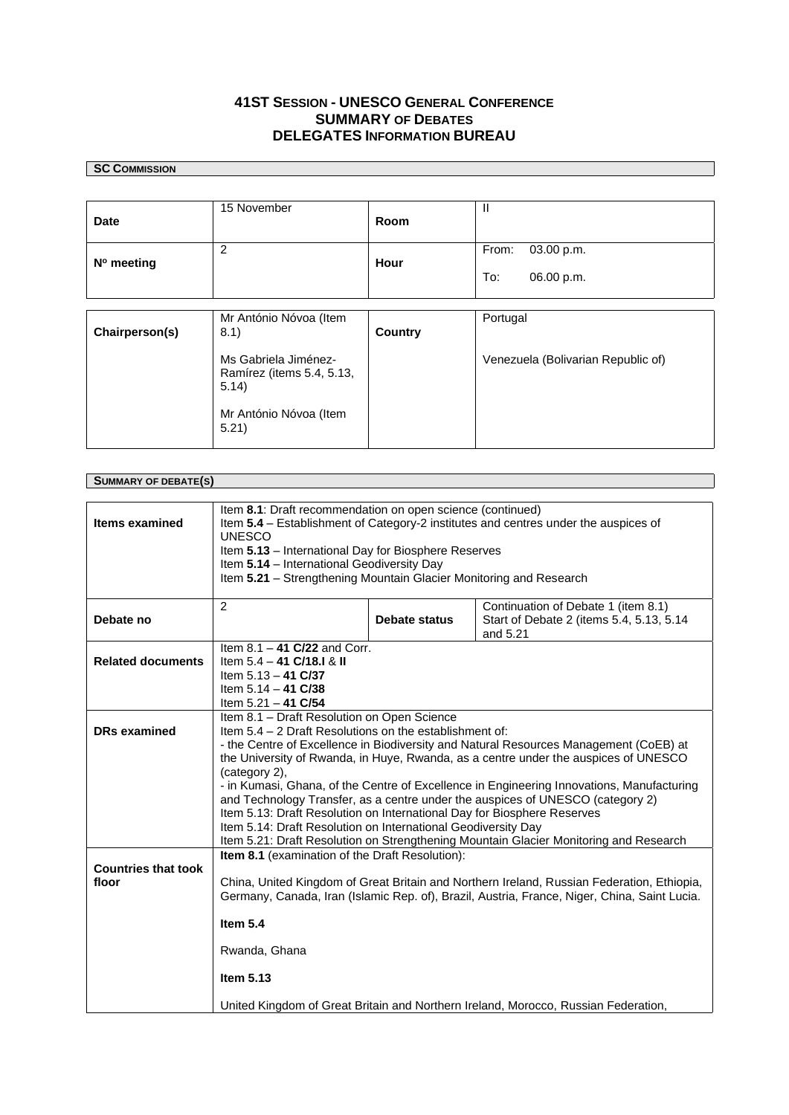## **41ST SESSION - UNESCO GENERAL CONFERENCE SUMMARY** OF **DEBATES DELEGATES INFORMATION BUREAU**

## **SC COMMISSION**

 $\Box$ 

| Date                                | 15 November                                                                                                                                                                                                                                                                                                                                                                                                                                                                                                                                                                                                                                                                                                                 | Room                 | $\mathbf{II}$                                                                               |  |  |
|-------------------------------------|-----------------------------------------------------------------------------------------------------------------------------------------------------------------------------------------------------------------------------------------------------------------------------------------------------------------------------------------------------------------------------------------------------------------------------------------------------------------------------------------------------------------------------------------------------------------------------------------------------------------------------------------------------------------------------------------------------------------------------|----------------------|---------------------------------------------------------------------------------------------|--|--|
| N° meeting                          | 2                                                                                                                                                                                                                                                                                                                                                                                                                                                                                                                                                                                                                                                                                                                           | Hour                 | From:<br>03.00 p.m.                                                                         |  |  |
|                                     |                                                                                                                                                                                                                                                                                                                                                                                                                                                                                                                                                                                                                                                                                                                             |                      | To:<br>06.00 p.m.                                                                           |  |  |
| Chairperson(s)                      | Mr António Nóvoa (Item<br>8.1)                                                                                                                                                                                                                                                                                                                                                                                                                                                                                                                                                                                                                                                                                              | <b>Country</b>       | Portugal                                                                                    |  |  |
|                                     | Ms Gabriela Jiménez-<br>Ramírez (items 5.4, 5.13,<br>5.14)                                                                                                                                                                                                                                                                                                                                                                                                                                                                                                                                                                                                                                                                  |                      | Venezuela (Bolivarian Republic of)                                                          |  |  |
|                                     | Mr António Nóvoa (Item<br>5.21)                                                                                                                                                                                                                                                                                                                                                                                                                                                                                                                                                                                                                                                                                             |                      |                                                                                             |  |  |
|                                     |                                                                                                                                                                                                                                                                                                                                                                                                                                                                                                                                                                                                                                                                                                                             |                      |                                                                                             |  |  |
| <b>SUMMARY OF DEBATE(S)</b>         |                                                                                                                                                                                                                                                                                                                                                                                                                                                                                                                                                                                                                                                                                                                             |                      |                                                                                             |  |  |
| <b>Items examined</b>               | Item 8.1: Draft recommendation on open science (continued)<br>Item 5.4 - Establishment of Category-2 institutes and centres under the auspices of<br><b>UNESCO</b><br>Item 5.13 - International Day for Biosphere Reserves                                                                                                                                                                                                                                                                                                                                                                                                                                                                                                  |                      |                                                                                             |  |  |
|                                     | Item 5.14 - International Geodiversity Day<br>Item 5.21 - Strengthening Mountain Glacier Monitoring and Research                                                                                                                                                                                                                                                                                                                                                                                                                                                                                                                                                                                                            |                      |                                                                                             |  |  |
| Debate no                           | 2                                                                                                                                                                                                                                                                                                                                                                                                                                                                                                                                                                                                                                                                                                                           | <b>Debate status</b> | Continuation of Debate 1 (item 8.1)<br>Start of Debate 2 (items 5.4, 5.13, 5.14<br>and 5.21 |  |  |
| <b>Related documents</b>            | Item $8.1 - 41$ C/22 and Corr.<br>Item 5.4 - 41 C/18.I & II<br>Item $5.13 - 41$ C/37<br>Item $5.14 - 41$ C/38<br>Item $5.21 - 41$ C/54                                                                                                                                                                                                                                                                                                                                                                                                                                                                                                                                                                                      |                      |                                                                                             |  |  |
| <b>DRs examined</b>                 | Item 8.1 - Draft Resolution on Open Science<br>Item 5.4 - 2 Draft Resolutions on the establishment of:<br>- the Centre of Excellence in Biodiversity and Natural Resources Management (CoEB) at<br>the University of Rwanda, in Huye, Rwanda, as a centre under the auspices of UNESCO<br>(category 2),<br>- in Kumasi, Ghana, of the Centre of Excellence in Engineering Innovations, Manufacturing<br>and Technology Transfer, as a centre under the auspices of UNESCO (category 2)<br>Item 5.13: Draft Resolution on International Day for Biosphere Reserves<br>Item 5.14: Draft Resolution on International Geodiversity Day<br>Item 5.21: Draft Resolution on Strengthening Mountain Glacier Monitoring and Research |                      |                                                                                             |  |  |
| <b>Countries that took</b><br>floor | Item 8.1 (examination of the Draft Resolution):<br>China, United Kingdom of Great Britain and Northern Ireland, Russian Federation, Ethiopia,<br>Germany, Canada, Iran (Islamic Rep. of), Brazil, Austria, France, Niger, China, Saint Lucia.                                                                                                                                                                                                                                                                                                                                                                                                                                                                               |                      |                                                                                             |  |  |
|                                     | Item $5.4$                                                                                                                                                                                                                                                                                                                                                                                                                                                                                                                                                                                                                                                                                                                  |                      |                                                                                             |  |  |
|                                     | Rwanda, Ghana                                                                                                                                                                                                                                                                                                                                                                                                                                                                                                                                                                                                                                                                                                               |                      |                                                                                             |  |  |
|                                     | Item 5.13                                                                                                                                                                                                                                                                                                                                                                                                                                                                                                                                                                                                                                                                                                                   |                      |                                                                                             |  |  |
|                                     | United Kingdom of Great Britain and Northern Ireland, Morocco, Russian Federation,                                                                                                                                                                                                                                                                                                                                                                                                                                                                                                                                                                                                                                          |                      |                                                                                             |  |  |